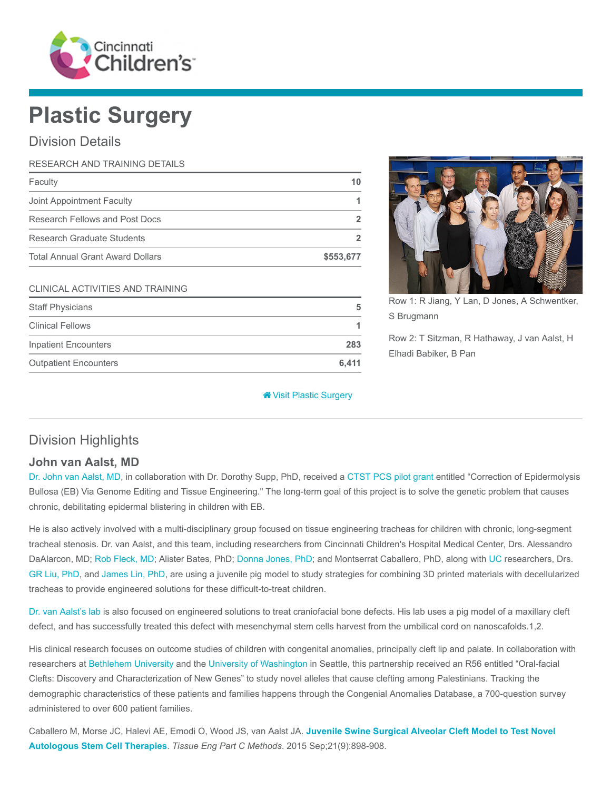

# Plastic Surgery

# Division Details

| RESEARCH AND TRAINING DETAILS    |           |
|----------------------------------|-----------|
| Faculty                          | 10        |
| Joint Appointment Faculty        |           |
| Research Fellows and Post Docs   |           |
| Research Graduate Students       |           |
| Total Annual Grant Award Dollars | \$553,677 |
|                                  |           |

#### CLINICAL ACTIVITIES AND TRAINING

| <b>Staff Physicians</b>      | 5     |  |
|------------------------------|-------|--|
| <b>Clinical Fellows</b>      |       |  |
| <b>Inpatient Encounters</b>  | 283   |  |
| <b>Outpatient Encounters</b> | 6.411 |  |



Row 1: R Jiang, Y Lan, D Jones, A Schwentker, S Brugmann

Row 2: T Sitzman, R Hathaway, J van Aalst, H Elhadi Babiker, B Pan

[Visit Plastic Surgery](https://www.cincinnatichildrens.org/research/divisions/p/plastic)

# Division Highlights

## John van Aalst, MD

[Dr. John van Aalst, MD](https://www.cincinnatichildrens.org/bio/v/john-vanaalst), in collaboration with Dr. Dorothy Supp, PhD, received a [CTST PCS pilot grant](https://cctst.uc.edu/programs/pilot) entitled "Correction of Epidermolysis Bullosa (EB) Via Genome Editing and Tissue Engineering." The long-term goal of this project is to solve the genetic problem that causes chronic, debilitating epidermal blistering in children with EB.

He is also actively involved with a multi-disciplinary group focused on tissue engineering tracheas for children with chronic, long-segment tracheal stenosis. Dr. van Aalst, and this team, including researchers from Cincinnati Children's Hospital Medical Center, Drs. Alessandro DaAlarcon, MD; [Rob Fleck, MD](https://www.cincinnatichildrens.org/bio/f/robert-fleck); Alister Bates, PhD; [Donna Jones, PhD](https://www.cincinnatichildrens.org/bio/j/helen-jones); and Montserrat Caballero, PhD, along with [UC](http://www.uc.edu/) researchers, Drs. [GR Liu, PhD](http://ceas.uc.edu/aerospace/people/people_fac-staff/fac-staff/fac/g_r_liu.html), and [James Lin, PhD,](http://ceas.uc.edu/faculty_staff/profiles/chia-ying-lin.html) are using a juvenile pig model to study strategies for combining 3D printed materials with decellularized tracheas to provide engineered solutions for these difficult-to-treat children.

[Dr. van Aalst's lab](https://www.cincinnatichildrens.org/research/divisions/p/plastic/labs/vanaalst) is also focused on engineered solutions to treat craniofacial bone defects. His lab uses a pig model of a maxillary cleft defect, and has successfully treated this defect with mesenchymal stem cells harvest from the umbilical cord on nanoscafolds.1,2.

His clinical research focuses on outcome studies of children with congenital anomalies, principally cleft lip and palate. In collaboration with researchers at [Bethlehem University](https://www.bethlehem.edu/) and the [University of Washington](https://www.washington.edu/) in Seattle, this partnership received an R56 entitled "Oral-facial Clefts: Discovery and Characterization of New Genes" to study novel alleles that cause clefting among Palestinians. Tracking the demographic characteristics of these patients and families happens through the Congenial Anomalies Database, a 700-question survey administered to over 600 patient families.

[Caballero M, Morse JC, Halevi AE, Emodi O, Wood JS, van Aalst JA.](https://www.ncbi.nlm.nih.gov/pubmed/25837453) Juvenile Swine Surgical Alveolar Cleft Model to Test Novel Autologous Stem Cell Therapies. Tissue Eng Part C Methods. 2015 Sep;21(9):898-908.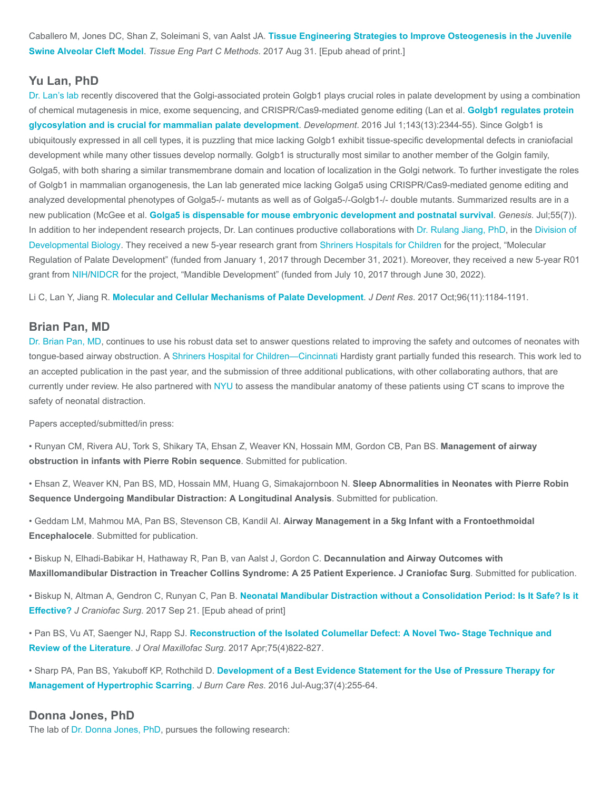Caballero M, Jones DC, Shan Z, Soleimani S, van Aalst JA. [Tissue Engineering Strategies to Improve Osteogenesis in the Juvenile](https://www.ncbi.nlm.nih.gov/pubmed/28747097) Swine Alveolar Cleft Model. Tissue Eng Part C Methods. 2017 Aug 31. [Epub ahead of print.]

## Yu Lan, PhD

[Dr. Lan's lab](https://www.cincinnatichildrens.org/research/divisions/p/plastic/labs/lan) recently discovered that the Golgi-associated protein Golgb1 plays crucial roles in palate development by using a combination [of chemical mutagenesis in mice, exome sequencing, and CRISPR/Cas9-mediated genome editing \(Lan et al.](https://www.ncbi.nlm.nih.gov/pubmed/27226319) Golgb1 regulates protein glycosylation and is crucial for mammalian palate development. Development. 2016 Jul 1;143(13):2344-55). Since Golgb1 is ubiquitously expressed in all cell types, it is puzzling that mice lacking Golgb1 exhibit tissue-specific developmental defects in craniofacial development while many other tissues develop normally. Golgb1 is structurally most similar to another member of the Golgin family, Golga5, with both sharing a similar transmembrane domain and location of localization in the Golgi network. To further investigate the roles of Golgb1 in mammalian organogenesis, the Lan lab generated mice lacking Golga5 using CRISPR/Cas9-mediated genome editing and analyzed developmental phenotypes of Golga5-/- mutants as well as of Golga5-/-Golgb1-/- double mutants. Summarized results are in a new publication (McGee et al. [Golga5 is dispensable for mouse embryonic development and postnatal survival](https://www.ncbi.nlm.nih.gov/pubmed/28509431). Genesis. Jul;55(7)). [In addition to her independent research projects, Dr. Lan continues productive collaborations with D](https://www.cincinnatichildrens.org/research/divisions/d/dev-biology)[r. Rulang Jiang, PhD](https://www.cincinnatichildrens.org/bio/j/rulang-jiang)[, in the Division of](https://www.cincinnatichildrens.org/research/divisions/d/dev-biology) Developmental Biology. They received a new 5-year research grant from [Shriners Hospitals for Children](https://www.shrinershospitalsforchildren.org/) for the project, "Molecular Regulation of Palate Development" (funded from January 1, 2017 through December 31, 2021). Moreover, they received a new 5-year R01 grant from [NIH](https://www.nih.gov/)[/NIDCR](https://www.nidcr.nih.gov/) for the project, "Mandible Development" (funded from July 10, 2017 through June 30, 2022).

Li C, Lan Y, Jiang R. [Molecular and Cellular Mechanisms of Palate Development](https://www.ncbi.nlm.nih.gov/pubmed/28745929). J Dent Res. 2017 Oct;96(11):1184-1191.

#### Brian Pan, MD

[Dr. Brian Pan, MD,](https://www.cincinnatichildrens.org/bio/p/brian-pan) continues to use his robust data set to answer questions related to improving the safety and outcomes of neonates with tongue-based airway obstruction. A [Shriners Hospital for Children—Cincinnati](http://shrinershospitalcincinnati.org/?_vsrefdom=shrinerssem&gclid=CLvf_4bWx9YCFYOPswodorwIzA) Hardisty grant partially funded this research. This work led to an accepted publication in the past year, and the submission of three additional publications, with other collaborating authors, that are currently under review. He also partnered with [NYU](https://www.nyu.edu/) to assess the mandibular anatomy of these patients using CT scans to improve the safety of neonatal distraction.

Papers accepted/submitted/in press:

• Runyan CM, Rivera AU, Tork S, Shikary TA, Ehsan Z, Weaver KN, Hossain MM, Gordon CB, Pan BS. Management of airway obstruction in infants with Pierre Robin sequence. Submitted for publication.

• Ehsan Z, Weaver KN, Pan BS, MD, Hossain MM, Huang G, Simakajornboon N. Sleep Abnormalities in Neonates with Pierre Robin Sequence Undergoing Mandibular Distraction: A Longitudinal Analysis. Submitted for publication.

• Geddam LM, Mahmou MA, Pan BS, Stevenson CB, Kandil AI. Airway Management in a 5kg Infant with a Frontoethmoidal Encephalocele. Submitted for publication.

• Biskup N, Elhadi-Babikar H, Hathaway R, Pan B, van Aalst J, Gordon C. Decannulation and Airway Outcomes with Maxillomandibular Distraction in Treacher Collins Syndrome: A 25 Patient Experience. J Craniofac Surg. Submitted for publication.

• Biskup N, Altman A, Gendron C, Runyan C, Pan B. [Neonatal Mandibular Distraction without a Consolidation Period: Is It Safe? Is it](https://www.ncbi.nlm.nih.gov/pubmed/28938318) Effective? J Craniofac Surg. 2017 Sep 21. [Epub ahead of print]

• Pan BS, Vu AT, Saenger NJ, Rapp SJ. [Reconstruction of the Isolated Columellar Defect: A Novel Two- Stage Technique and](https://www.ncbi.nlm.nih.gov/pubmed/28012842) Review of the Literature. J Oral Maxillofac Surg. 2017 Apr;75(4)822-827.

• Sharp PA, Pan BS, Yakuboff KP, Rothchild D. [Development of a Best Evidence Statement for the Use of Pressure Therapy for](https://www.ncbi.nlm.nih.gov/pubmed/26056760) Management of Hypertrophic Scarring. J Burn Care Res. 2016 Jul-Aug;37(4):255-64.

#### Donna Jones, PhD

The lab of [Dr. Donna Jones, PhD](https://www.cincinnatichildrens.org/bio/j/donna-jones), pursues the following research: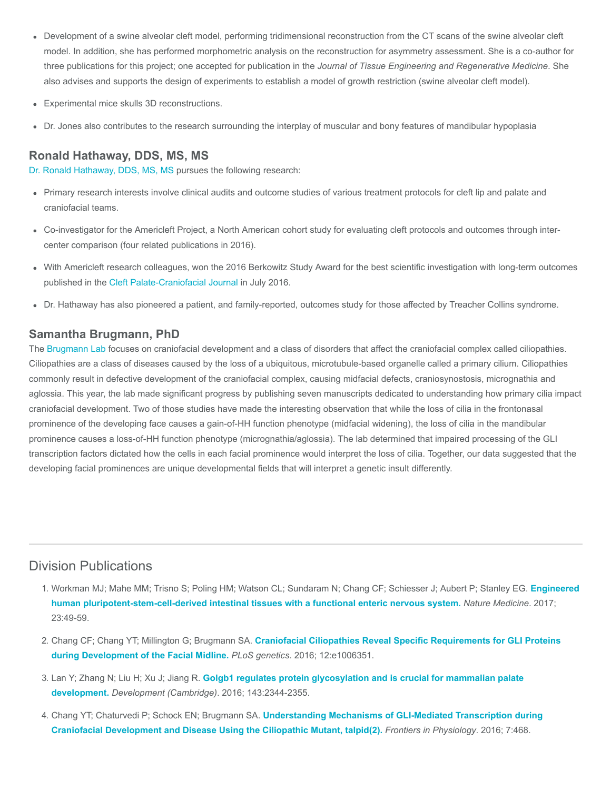- Development of a swine alveolar cleft model, performing tridimensional reconstruction from the CT scans of the swine alveolar cleft model. In addition, she has performed morphometric analysis on the reconstruction for asymmetry assessment. She is a co-author for three publications for this project; one accepted for publication in the Journal of Tissue Engineering and Regenerative Medicine. She also advises and supports the design of experiments to establish a model of growth restriction (swine alveolar cleft model).
- Experimental mice skulls 3D reconstructions.
- Dr. Jones also contributes to the research surrounding the interplay of muscular and bony features of mandibular hypoplasia

# Ronald Hathaway, DDS, MS, MS

[Dr. Ronald Hathaway, DDS, MS, MS p](https://www.cincinnatichildrens.org/bio/h/ronald-hathaway)ursues the following research:

- Primary research interests involve clinical audits and outcome studies of various treatment protocols for cleft lip and palate and craniofacial teams.
- Co-investigator for the Americleft Project, a North American cohort study for evaluating cleft protocols and outcomes through intercenter comparison (four related publications in 2016).
- With Americleft research colleagues, won the 2016 Berkowitz Study Award for the best scientific investigation with long-term outcomes published in the [Cleft Palate-Craniofacial Journal](https://www.ncbi.nlm.nih.gov/pubmed/27441697) in July 2016.
- Dr. Hathaway has also pioneered a patient, and family-reported, outcomes study for those affected by Treacher Collins syndrome.

## Samantha Brugmann, PhD

The [Brugmann Lab](https://www.cincinnatichildrens.org/research/divisions/p/plastic/labs/brugmann) focuses on craniofacial development and a class of disorders that affect the craniofacial complex called ciliopathies. Ciliopathies are a class of diseases caused by the loss of a ubiquitous, microtubule-based organelle called a primary cilium. Ciliopathies commonly result in defective development of the craniofacial complex, causing midfacial defects, craniosynostosis, micrognathia and aglossia. This year, the lab made significant progress by publishing seven manuscripts dedicated to understanding how primary cilia impact craniofacial development. Two of those studies have made the interesting observation that while the loss of cilia in the frontonasal prominence of the developing face causes a gain-of-HH function phenotype (midfacial widening), the loss of cilia in the mandibular prominence causes a loss-of-HH function phenotype (micrognathia/aglossia). The lab determined that impaired processing of the GLI transcription factors dictated how the cells in each facial prominence would interpret the loss of cilia. Together, our data suggested that the developing facial prominences are unique developmental fields that will interpret a genetic insult differently.

# Division Publications

- 1. [Workman MJ; Mahe MM; Trisno S; Poling HM; Watson CL; Sundaram N; Chang CF; Schiesser J; Aubert P; Stanley EG.](https://www.ncbi.nlm.nih.gov/pubmed/27869805) Engineered human pluripotent-stem-cell-derived intestinal tissues with a functional enteric nervous system. Nature Medicine. 2017; 23:49-59.
- 2. Chang CF; Chang YT; Millington G; Brugmann SA. [Craniofacial Ciliopathies Reveal Specific Requirements for GLI Proteins](https://www.ncbi.nlm.nih.gov/pubmed/27802276) during Development of the Facial Midline. PLoS genetics. 2016; 12:e1006351.
- 3. Lan Y; Zhang N; Liu H; Xu J; Jiang R. [Golgb1 regulates protein glycosylation and is crucial for mammalian palate](https://www.ncbi.nlm.nih.gov/pubmed/27226319) development. Development (Cambridge). 2016; 143:2344-2355.
- 4. Chang YT; Chaturvedi P; Schock EN; Brugmann SA. Understanding Mechanisms of GLI-Mediated Transcription during [Craniofacial Development and Disease Using the Ciliopathic Mutant, talpid\(2\).](https://www.ncbi.nlm.nih.gov/pubmed/27799912) Frontiers in Physiology. 2016; 7:468.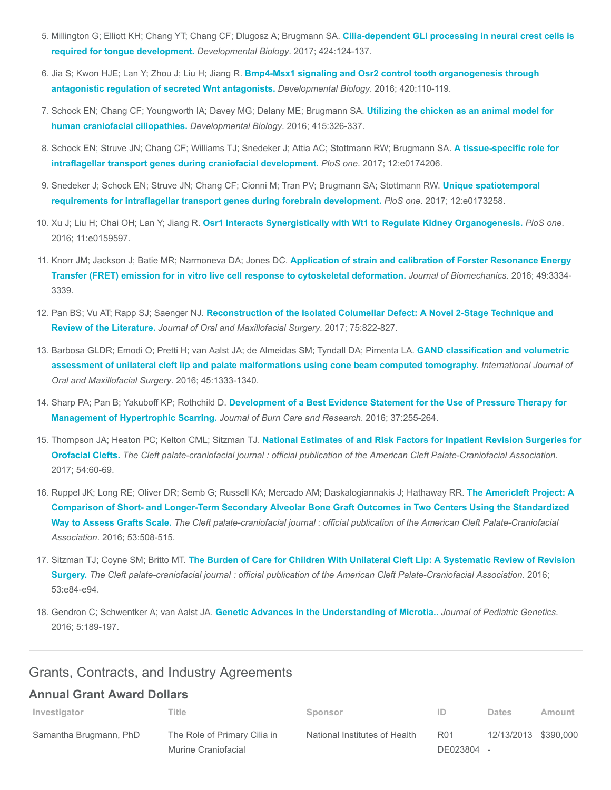- 5. [Millington G; Elliott KH; Chang YT; Chang CF; Dlugosz A; Brugmann SA.](https://www.ncbi.nlm.nih.gov/pubmed/28286175) Cilia-dependent GLI processing in neural crest cells is required for tongue development. Developmental Biology. 2017; 424:124-137.
- 6. Jia S; Kwon HJE; Lan Y; Zhou J; Liu H; Jiang R. [Bmp4-Msx1 signaling and Osr2 control tooth organogenesis through](https://www.ncbi.nlm.nih.gov/pubmed/27713059) antagonistic regulation of secreted Wnt antagonists. Developmental Biology. 2016; 420:110-119.
- 7. [Schock EN; Chang CF; Youngworth IA; Davey MG; Delany ME; Brugmann SA.](https://www.ncbi.nlm.nih.gov/pubmed/26597494) Utilizing the chicken as an animal model for human craniofacial ciliopathies. Developmental Biology. 2016; 415:326-337.
- 8. [Schock EN; Struve JN; Chang CF; Williams TJ; Snedeker J; Attia AC; Stottmann RW; Brugmann SA.](https://www.ncbi.nlm.nih.gov/pubmed/28346501) A tissue-specific role for intraflagellar transport genes during craniofacial development. PloS one. 2017; 12:e0174206.
- 9. [Snedeker J; Schock EN; Struve JN; Chang CF; Cionni M; Tran PV; Brugmann SA; Stottmann RW.](https://www.ncbi.nlm.nih.gov/pubmed/28291836) Unique spatiotemporal requirements for intraflagellar transport genes during forebrain development. PloS one. 2017; 12:e0173258.
- 10. Xu J; Liu H; Chai OH; Lan Y; Jiang R. [Osr1 Interacts Synergistically with Wt1 to Regulate Kidney Organogenesis.](https://www.ncbi.nlm.nih.gov/pubmed/27442016) PloS one. 2016; 11:e0159597.
- 11. Knorr JM; Jackson J; Batie MR; Narmoneva DA; Jones DC. Application of strain and calibration of Forster Resonance Energy [Transfer \(FRET\) emission for in vitro live cell response to cytoskeletal deformation.](https://www.ncbi.nlm.nih.gov/pubmed/27589930) Journal of Biomechanics. 2016; 49:3334- 3339.
- 12. Pan BS; Vu AT; Rapp SJ; Saenger NJ. [Reconstruction of the Isolated Columellar Defect: A Novel 2-Stage Technique and](https://www.ncbi.nlm.nih.gov/pubmed/28012842) Review of the Literature. Journal of Oral and Maxillofacial Surgery. 2017; 75:822-827.
- 13. [Barbosa GLDR; Emodi O; Pretti H; van Aalst JA; de Almeidas SM; Tyndall DA; Pimenta LA.](https://www.ncbi.nlm.nih.gov/pubmed/27288267) GAND classification and volumetric assessment of unilateral cleft lip and palate malformations using cone beam computed tomography. International Journal of Oral and Maxillofacial Surgery. 2016; 45:1333-1340.
- 14. Sharp PA; Pan B; Yakuboff KP; Rothchild D. [Development of a Best Evidence Statement for the Use of Pressure Therapy for](https://www.ncbi.nlm.nih.gov/pubmed/26056760) Management of Hypertrophic Scarring. Journal of Burn Care and Research. 2016; 37:255-264.
- 15. Thompson JA; Heaton PC; Kelton CML; Sitzman TJ. National Estimates of and Risk Factors for Inpatient Revision Surgeries for Orofacial Clefts. [The Cleft palate-craniofacial journal : official publication of the American Cleft Palate-Craniofacial Association](https://www.ncbi.nlm.nih.gov/pubmed/26752130). 2017; 54:60-69.
- 16. Ruppel JK; Long RE; Oliver DR; Semb G; Russell KA; Mercado AM; Daskalogiannakis J; Hathaway RR. The Americleft Project: A [Comparison of Short- and Longer-Term Secondary Alveolar Bone Graft Outcomes in Two Centers Using the Standardized](https://www.ncbi.nlm.nih.gov/pubmed/26218534) Way to Assess Grafts Scale. The Cleft palate-craniofacial journal : official publication of the American Cleft Palate-Craniofacial Association. 2016; 53:508-515.
- 17. Sitzman TJ; Coyne SM; Britto MT. The Burden of Care for Children With Unilateral Cleft Lip: A Systematic Review of Revision Surgery. [The Cleft palate-craniofacial journal : official publication of the American Cleft Palate-Craniofacial Association](https://www.ncbi.nlm.nih.gov/pubmed/26247708). 2016; 53:e84-e94.
- 18. Gendron C; Schwentker A; van Aalst JA. [Genetic Advances in the Understanding of Microtia..](https://www.ncbi.nlm.nih.gov/pubmed/27895971) Journal of Pediatric Genetics. 2016; 5:189-197.

# Grants, Contracts, and Industry Agreements

# Annual Grant Award Dollars

| Investigator           | Title                        | Sponsor                       | ID              | Dates                | Amount |
|------------------------|------------------------------|-------------------------------|-----------------|----------------------|--------|
| Samantha Brugmann, PhD | The Role of Primary Cilia in | National Institutes of Health | R <sub>01</sub> | 12/13/2013 \$390,000 |        |
|                        | Murine Craniofacial          |                               | DE023804 -      |                      |        |